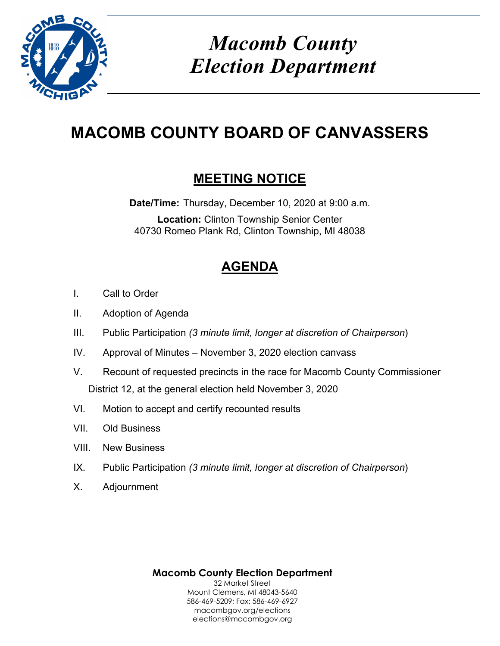

# *Macomb County Election Department*

# **MACOMB COUNTY BOARD OF CANVASSERS**

# **MEETING NOTICE**

**Date/Time:** Thursday, December 10, 2020 at 9:00 a.m. **Location:** Clinton Township Senior Center 40730 Romeo Plank Rd, Clinton Township, MI 48038

# **AGENDA**

- I. Call to Order
- II. Adoption of Agenda
- III. Public Participation *(3 minute limit, longer at discretion of Chairperson*)
- IV. Approval of Minutes November 3, 2020 election canvass
- V. Recount of requested precincts in the race for Macomb County Commissioner District 12, at the general election held November 3, 2020
- VI. Motion to accept and certify recounted results
- VII. Old Business
- VIII. New Business
- IX. Public Participation *(3 minute limit, longer at discretion of Chairperson*)
- X. Adjournment

**Macomb County Election Department**  32 Market Street Mount Clemens, MI 48043-5640 586-469-5209; Fax: 586-469-6927 macombgov.org/elections elections@macombgov.org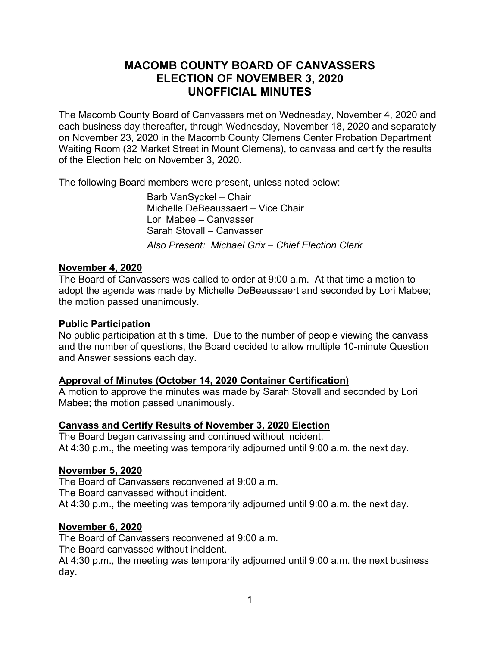# **MACOMB COUNTY BOARD OF CANVASSERS ELECTION OF NOVEMBER 3, 2020 UNOFFICIAL MINUTES**

The Macomb County Board of Canvassers met on Wednesday, November 4, 2020 and each business day thereafter, through Wednesday, November 18, 2020 and separately on November 23, 2020 in the Macomb County Clemens Center Probation Department Waiting Room (32 Market Street in Mount Clemens), to canvass and certify the results of the Election held on November 3, 2020.

The following Board members were present, unless noted below:

 Barb VanSyckel – Chair Michelle DeBeaussaert – Vice Chair Lori Mabee – Canvasser Sarah Stovall – Canvasser *Also Present: Michael Grix – Chief Election Clerk* 

## **November 4, 2020**

The Board of Canvassers was called to order at 9:00 a.m. At that time a motion to adopt the agenda was made by Michelle DeBeaussaert and seconded by Lori Mabee; the motion passed unanimously.

#### **Public Participation**

No public participation at this time. Due to the number of people viewing the canvass and the number of questions, the Board decided to allow multiple 10-minute Question and Answer sessions each day.

## **Approval of Minutes (October 14, 2020 Container Certification)**

A motion to approve the minutes was made by Sarah Stovall and seconded by Lori Mabee; the motion passed unanimously.

# **Canvass and Certify Results of November 3, 2020 Election**

The Board began canvassing and continued without incident. At 4:30 p.m., the meeting was temporarily adjourned until 9:00 a.m. the next day.

#### **November 5, 2020**

The Board of Canvassers reconvened at 9:00 a.m. The Board canvassed without incident. At 4:30 p.m., the meeting was temporarily adjourned until 9:00 a.m. the next day.

## **November 6, 2020**

The Board of Canvassers reconvened at 9:00 a.m.

The Board canvassed without incident.

At 4:30 p.m., the meeting was temporarily adjourned until 9:00 a.m. the next business day.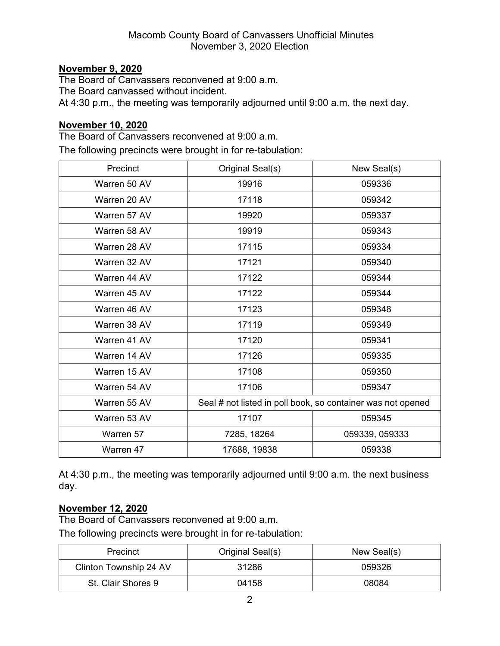# **November 9, 2020**

The Board of Canvassers reconvened at 9:00 a.m. The Board canvassed without incident. At 4:30 p.m., the meeting was temporarily adjourned until 9:00 a.m. the next day.

# **November 10, 2020**

The Board of Canvassers reconvened at 9:00 a.m.

The following precincts were brought in for re-tabulation:

| Precinct     | Original Seal(s)                                            | New Seal(s)    |
|--------------|-------------------------------------------------------------|----------------|
| Warren 50 AV | 19916                                                       | 059336         |
| Warren 20 AV | 17118                                                       | 059342         |
| Warren 57 AV | 19920                                                       | 059337         |
| Warren 58 AV | 19919                                                       | 059343         |
| Warren 28 AV | 17115                                                       | 059334         |
| Warren 32 AV | 17121                                                       | 059340         |
| Warren 44 AV | 17122                                                       | 059344         |
| Warren 45 AV | 17122                                                       | 059344         |
| Warren 46 AV | 17123                                                       | 059348         |
| Warren 38 AV | 17119                                                       | 059349         |
| Warren 41 AV | 17120                                                       | 059341         |
| Warren 14 AV | 17126                                                       | 059335         |
| Warren 15 AV | 17108                                                       | 059350         |
| Warren 54 AV | 17106                                                       | 059347         |
| Warren 55 AV | Seal # not listed in poll book, so container was not opened |                |
| Warren 53 AV | 17107                                                       | 059345         |
| Warren 57    | 7285, 18264                                                 | 059339, 059333 |
| Warren 47    | 17688, 19838                                                | 059338         |

At 4:30 p.m., the meeting was temporarily adjourned until 9:00 a.m. the next business day.

# **November 12, 2020**

The Board of Canvassers reconvened at 9:00 a.m.

The following precincts were brought in for re-tabulation:

| Precinct               | Original Seal(s) | New Seal(s) |
|------------------------|------------------|-------------|
| Clinton Township 24 AV | 31286            | 059326      |
| St. Clair Shores 9     | 04158            | 08084       |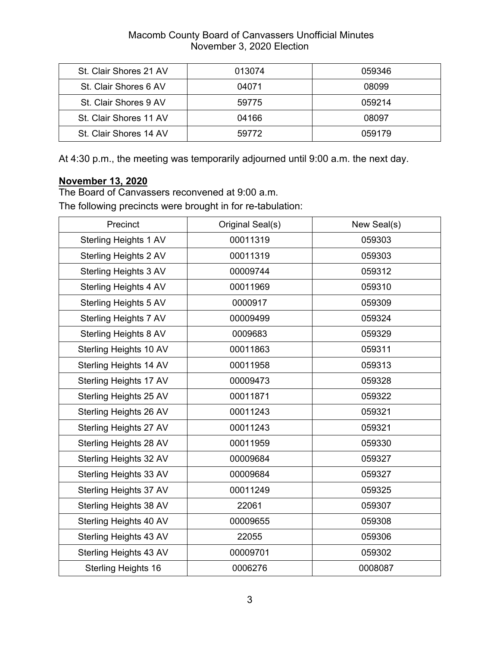# Macomb County Board of Canvassers Unofficial Minutes November 3, 2020 Election

| St. Clair Shores 21 AV | 013074 | 059346 |
|------------------------|--------|--------|
| St. Clair Shores 6 AV  | 04071  | 08099  |
| St. Clair Shores 9 AV  | 59775  | 059214 |
| St. Clair Shores 11 AV | 04166  | 08097  |
| St. Clair Shores 14 AV | 59772  | 059179 |

At 4:30 p.m., the meeting was temporarily adjourned until 9:00 a.m. the next day.

# **November 13, 2020**

The Board of Canvassers reconvened at 9:00 a.m.

The following precincts were brought in for re-tabulation:

| Precinct                     | Original Seal(s) | New Seal(s) |
|------------------------------|------------------|-------------|
| <b>Sterling Heights 1 AV</b> | 00011319         | 059303      |
| <b>Sterling Heights 2 AV</b> | 00011319         | 059303      |
| Sterling Heights 3 AV        | 00009744         | 059312      |
| Sterling Heights 4 AV        | 00011969         | 059310      |
| Sterling Heights 5 AV        | 0000917          | 059309      |
| Sterling Heights 7 AV        | 00009499         | 059324      |
| Sterling Heights 8 AV        | 0009683          | 059329      |
| Sterling Heights 10 AV       | 00011863         | 059311      |
| Sterling Heights 14 AV       | 00011958         | 059313      |
| Sterling Heights 17 AV       | 00009473         | 059328      |
| Sterling Heights 25 AV       | 00011871         | 059322      |
| Sterling Heights 26 AV       | 00011243         | 059321      |
| Sterling Heights 27 AV       | 00011243         | 059321      |
| Sterling Heights 28 AV       | 00011959         | 059330      |
| Sterling Heights 32 AV       | 00009684         | 059327      |
| Sterling Heights 33 AV       | 00009684         | 059327      |
| Sterling Heights 37 AV       | 00011249         | 059325      |
| Sterling Heights 38 AV       | 22061            | 059307      |
| Sterling Heights 40 AV       | 00009655         | 059308      |
| Sterling Heights 43 AV       | 22055            | 059306      |
| Sterling Heights 43 AV       | 00009701         | 059302      |
| <b>Sterling Heights 16</b>   | 0006276          | 0008087     |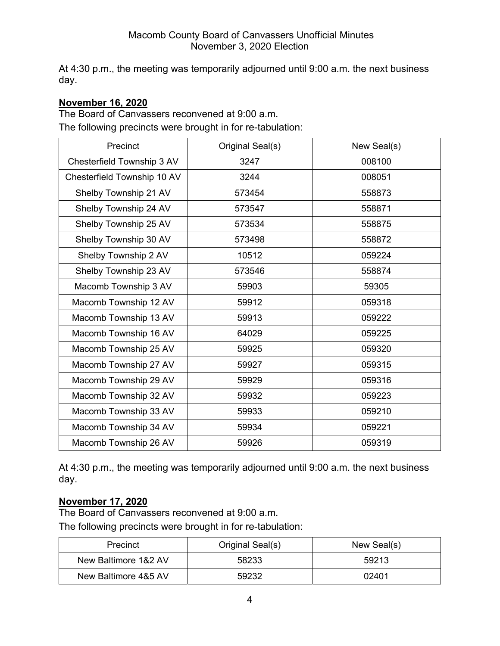At 4:30 p.m., the meeting was temporarily adjourned until 9:00 a.m. the next business day.

# **November 16, 2020**

The Board of Canvassers reconvened at 9:00 a.m.

The following precincts were brought in for re-tabulation:

| Precinct                    | Original Seal(s) | New Seal(s) |
|-----------------------------|------------------|-------------|
| Chesterfield Township 3 AV  | 3247             | 008100      |
| Chesterfield Township 10 AV | 3244             | 008051      |
| Shelby Township 21 AV       | 573454           | 558873      |
| Shelby Township 24 AV       | 573547           | 558871      |
| Shelby Township 25 AV       | 573534           | 558875      |
| Shelby Township 30 AV       | 573498           | 558872      |
| Shelby Township 2 AV        | 10512            | 059224      |
| Shelby Township 23 AV       | 573546           | 558874      |
| Macomb Township 3 AV        | 59903            | 59305       |
| Macomb Township 12 AV       | 59912            | 059318      |
| Macomb Township 13 AV       | 59913            | 059222      |
| Macomb Township 16 AV       | 64029            | 059225      |
| Macomb Township 25 AV       | 59925            | 059320      |
| Macomb Township 27 AV       | 59927            | 059315      |
| Macomb Township 29 AV       | 59929            | 059316      |
| Macomb Township 32 AV       | 59932            | 059223      |
| Macomb Township 33 AV       | 59933            | 059210      |
| Macomb Township 34 AV       | 59934            | 059221      |
| Macomb Township 26 AV       | 59926            | 059319      |

At 4:30 p.m., the meeting was temporarily adjourned until 9:00 a.m. the next business day.

# **November 17, 2020**

The Board of Canvassers reconvened at 9:00 a.m. The following precincts were brought in for re-tabulation:

| Precinct             | Original Seal(s) | New Seal(s) |
|----------------------|------------------|-------------|
| New Baltimore 1&2 AV | 58233            | 59213       |
| New Baltimore 4&5 AV | 59232            | 02401       |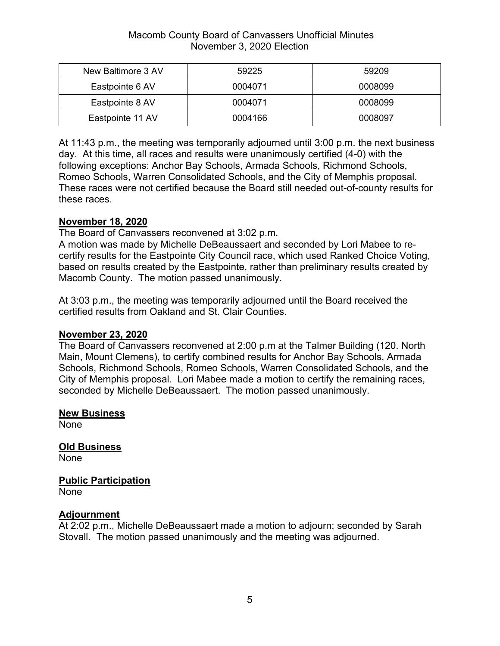## Macomb County Board of Canvassers Unofficial Minutes November 3, 2020 Election

| New Baltimore 3 AV | 59225   | 59209   |
|--------------------|---------|---------|
| Eastpointe 6 AV    | 0004071 | 0008099 |
| Eastpointe 8 AV    | 0004071 | 0008099 |
| Eastpointe 11 AV   | 0004166 | 0008097 |

At 11:43 p.m., the meeting was temporarily adjourned until 3:00 p.m. the next business day. At this time, all races and results were unanimously certified (4-0) with the following exceptions: Anchor Bay Schools, Armada Schools, Richmond Schools, Romeo Schools, Warren Consolidated Schools, and the City of Memphis proposal. These races were not certified because the Board still needed out-of-county results for these races.

# **November 18, 2020**

The Board of Canvassers reconvened at 3:02 p.m.

A motion was made by Michelle DeBeaussaert and seconded by Lori Mabee to recertify results for the Eastpointe City Council race, which used Ranked Choice Voting, based on results created by the Eastpointe, rather than preliminary results created by Macomb County. The motion passed unanimously.

At 3:03 p.m., the meeting was temporarily adjourned until the Board received the certified results from Oakland and St. Clair Counties.

## **November 23, 2020**

The Board of Canvassers reconvened at 2:00 p.m at the Talmer Building (120. North Main, Mount Clemens), to certify combined results for Anchor Bay Schools, Armada Schools, Richmond Schools, Romeo Schools, Warren Consolidated Schools, and the City of Memphis proposal. Lori Mabee made a motion to certify the remaining races, seconded by Michelle DeBeaussaert. The motion passed unanimously.

## **New Business**

None

**Old Business**  None

**Public Participation**  None

## **Adjournment**

At 2:02 p.m., Michelle DeBeaussaert made a motion to adjourn; seconded by Sarah Stovall. The motion passed unanimously and the meeting was adjourned.